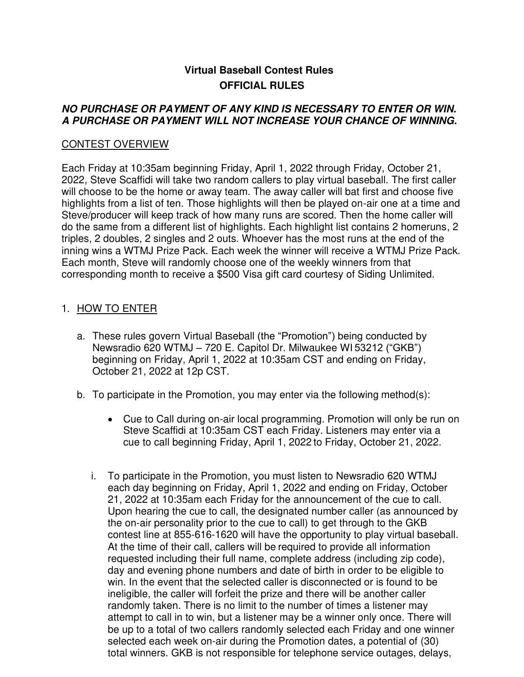# **Virtual Baseball Contest Rules OFFICIAL RULES**

### **NO PURCHASE OR PAYMENT OF ANY KIND IS NECESSARY TO ENTER OR WIN. A PURCHASE OR PAYMENT WILL NOT INCREASE YOUR CHANCE OF WINNING.**

### CONTEST OVERVIEW

Each Friday at 10:35am beginning Friday, April 1, 2022 through Friday, October 21, 2022, Steve Scaffidi will take two random callers to play virtual baseball. The first caller will choose to be the home or away team. The away caller will bat first and choose five highlights from a list of ten. Those highlights will then be played on-air one at a time and Steve/producer will keep track of how many runs are scored. Then the home caller will do the same from a different list of highlights. Each highlight list contains 2 homeruns, 2 triples, 2 doubles, 2 singles and 2 outs. Whoever has the most runs at the end of the inning wins a WTMJ Prize Pack. Each week the winner will receive a WTMJ Prize Pack. Each month, Steve will randomly choose one of the weekly winners from that corresponding month to receive a \$500 Visa gift card courtesy of Siding Unlimited.

### 1. HOW TO ENTER

- a. These rules govern Virtual Baseball (the "Promotion") being conducted by Newsradio 620 WTMJ – 720 E. Capitol Dr. Milwaukee WI 53212 ("GKB") beginning on Friday, April 1, 2022 at 10:35am CST and ending on Friday, October 21, 2022 at 12p CST.
- b. To participate in the Promotion, you may enter via the following method(s):
	- Cue to Call during on-air local programming. Promotion will only be run on Steve Scaffidi at 10:35am CST each Friday. Listeners may enter via a cue to call beginning Friday, April 1, 2022 to Friday, October 21, 2022.
	- i. To participate in the Promotion, you must listen to Newsradio 620 WTMJ each day beginning on Friday, April 1, 2022 and ending on Friday, October 21, 2022 at 10:35am each Friday for the announcement of the cue to call. Upon hearing the cue to call, the designated number caller (as announced by the on-air personality prior to the cue to call) to get through to the GKB contest line at 855-616-1620 will have the opportunity to play virtual baseball. At the time of their call, callers will be required to provide all information requested including their full name, complete address (including zip code), day and evening phone numbers and date of birth in order to be eligible to win. In the event that the selected caller is disconnected or is found to be ineligible, the caller will forfeit the prize and there will be another caller randomly taken. There is no limit to the number of times a listener may attempt to call in to win, but a listener may be a winner only once. There will be up to a total of two callers randomly selected each Friday and one winner selected each week on-air during the Promotion dates, a potential of (30) total winners. GKB is not responsible for telephone service outages, delays,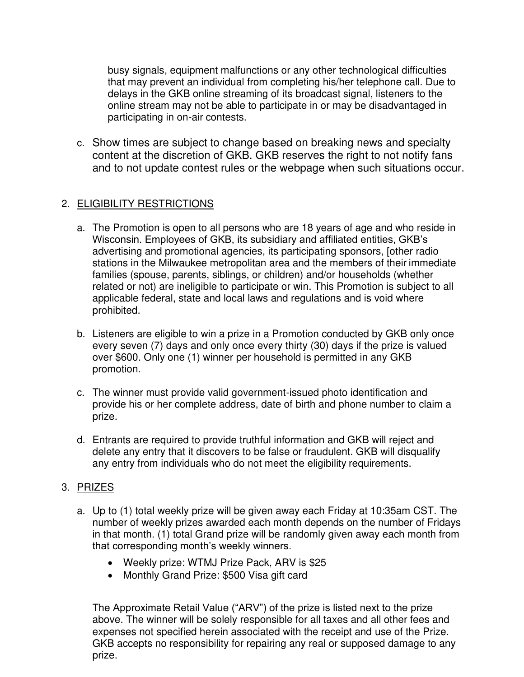busy signals, equipment malfunctions or any other technological difficulties that may prevent an individual from completing his/her telephone call. Due to delays in the GKB online streaming of its broadcast signal, listeners to the online stream may not be able to participate in or may be disadvantaged in participating in on-air contests.

c. Show times are subject to change based on breaking news and specialty content at the discretion of GKB. GKB reserves the right to not notify fans and to not update contest rules or the webpage when such situations occur.

## 2. ELIGIBILITY RESTRICTIONS

- a. The Promotion is open to all persons who are 18 years of age and who reside in Wisconsin. Employees of GKB, its subsidiary and affiliated entities, GKB's advertising and promotional agencies, its participating sponsors, [other radio stations in the Milwaukee metropolitan area and the members of their immediate families (spouse, parents, siblings, or children) and/or households (whether related or not) are ineligible to participate or win. This Promotion is subject to all applicable federal, state and local laws and regulations and is void where prohibited.
- b. Listeners are eligible to win a prize in a Promotion conducted by GKB only once every seven (7) days and only once every thirty (30) days if the prize is valued over \$600. Only one (1) winner per household is permitted in any GKB promotion.
- c. The winner must provide valid government-issued photo identification and provide his or her complete address, date of birth and phone number to claim a prize.
- d. Entrants are required to provide truthful information and GKB will reject and delete any entry that it discovers to be false or fraudulent. GKB will disqualify any entry from individuals who do not meet the eligibility requirements.

### 3. PRIZES

- a. Up to (1) total weekly prize will be given away each Friday at 10:35am CST. The number of weekly prizes awarded each month depends on the number of Fridays in that month. (1) total Grand prize will be randomly given away each month from that corresponding month's weekly winners.
	- Weekly prize: WTMJ Prize Pack, ARV is \$25
	- Monthly Grand Prize: \$500 Visa gift card

The Approximate Retail Value ("ARV") of the prize is listed next to the prize above. The winner will be solely responsible for all taxes and all other fees and expenses not specified herein associated with the receipt and use of the Prize. GKB accepts no responsibility for repairing any real or supposed damage to any prize.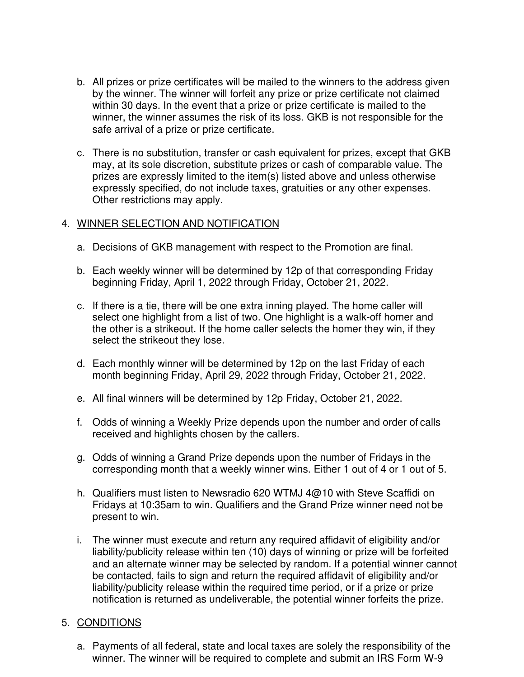- b. All prizes or prize certificates will be mailed to the winners to the address given by the winner. The winner will forfeit any prize or prize certificate not claimed within 30 days. In the event that a prize or prize certificate is mailed to the winner, the winner assumes the risk of its loss. GKB is not responsible for the safe arrival of a prize or prize certificate.
- c. There is no substitution, transfer or cash equivalent for prizes, except that GKB may, at its sole discretion, substitute prizes or cash of comparable value. The prizes are expressly limited to the item(s) listed above and unless otherwise expressly specified, do not include taxes, gratuities or any other expenses. Other restrictions may apply.

### 4. WINNER SELECTION AND NOTIFICATION

- a. Decisions of GKB management with respect to the Promotion are final.
- b. Each weekly winner will be determined by 12p of that corresponding Friday beginning Friday, April 1, 2022 through Friday, October 21, 2022.
- c. If there is a tie, there will be one extra inning played. The home caller will select one highlight from a list of two. One highlight is a walk-off homer and the other is a strikeout. If the home caller selects the homer they win, if they select the strikeout they lose.
- d. Each monthly winner will be determined by 12p on the last Friday of each month beginning Friday, April 29, 2022 through Friday, October 21, 2022.
- e. All final winners will be determined by 12p Friday, October 21, 2022.
- f. Odds of winning a Weekly Prize depends upon the number and order of calls received and highlights chosen by the callers.
- g. Odds of winning a Grand Prize depends upon the number of Fridays in the corresponding month that a weekly winner wins. Either 1 out of 4 or 1 out of 5.
- h. Qualifiers must listen to Newsradio 620 WTMJ 4@10 with Steve Scaffidi on Fridays at 10:35am to win. Qualifiers and the Grand Prize winner need not be present to win.
- i. The winner must execute and return any required affidavit of eligibility and/or liability/publicity release within ten (10) days of winning or prize will be forfeited and an alternate winner may be selected by random. If a potential winner cannot be contacted, fails to sign and return the required affidavit of eligibility and/or liability/publicity release within the required time period, or if a prize or prize notification is returned as undeliverable, the potential winner forfeits the prize.

### 5. CONDITIONS

a. Payments of all federal, state and local taxes are solely the responsibility of the winner. The winner will be required to complete and submit an IRS Form W-9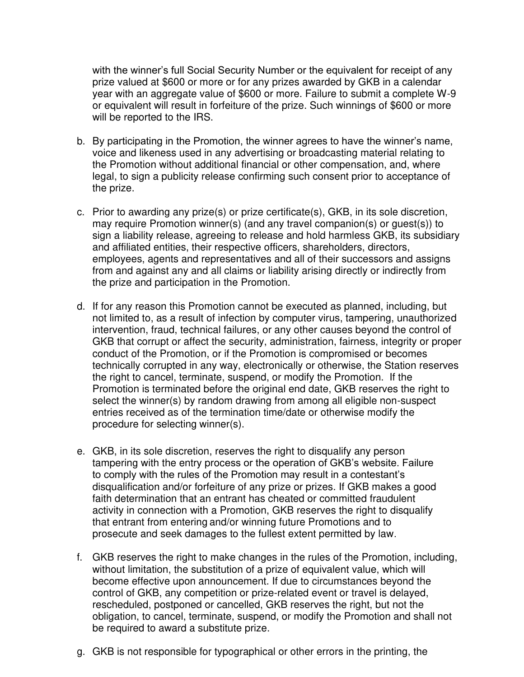with the winner's full Social Security Number or the equivalent for receipt of any prize valued at \$600 or more or for any prizes awarded by GKB in a calendar year with an aggregate value of \$600 or more. Failure to submit a complete W-9 or equivalent will result in forfeiture of the prize. Such winnings of \$600 or more will be reported to the IRS.

- b. By participating in the Promotion, the winner agrees to have the winner's name, voice and likeness used in any advertising or broadcasting material relating to the Promotion without additional financial or other compensation, and, where legal, to sign a publicity release confirming such consent prior to acceptance of the prize.
- c. Prior to awarding any prize(s) or prize certificate(s), GKB, in its sole discretion, may require Promotion winner(s) (and any travel companion(s) or guest(s)) to sign a liability release, agreeing to release and hold harmless GKB, its subsidiary and affiliated entities, their respective officers, shareholders, directors, employees, agents and representatives and all of their successors and assigns from and against any and all claims or liability arising directly or indirectly from the prize and participation in the Promotion.
- d. If for any reason this Promotion cannot be executed as planned, including, but not limited to, as a result of infection by computer virus, tampering, unauthorized intervention, fraud, technical failures, or any other causes beyond the control of GKB that corrupt or affect the security, administration, fairness, integrity or proper conduct of the Promotion, or if the Promotion is compromised or becomes technically corrupted in any way, electronically or otherwise, the Station reserves the right to cancel, terminate, suspend, or modify the Promotion. If the Promotion is terminated before the original end date, GKB reserves the right to select the winner(s) by random drawing from among all eligible non-suspect entries received as of the termination time/date or otherwise modify the procedure for selecting winner(s).
- e. GKB, in its sole discretion, reserves the right to disqualify any person tampering with the entry process or the operation of GKB's website. Failure to comply with the rules of the Promotion may result in a contestant's disqualification and/or forfeiture of any prize or prizes. If GKB makes a good faith determination that an entrant has cheated or committed fraudulent activity in connection with a Promotion, GKB reserves the right to disqualify that entrant from entering and/or winning future Promotions and to prosecute and seek damages to the fullest extent permitted by law.
- f. GKB reserves the right to make changes in the rules of the Promotion, including, without limitation, the substitution of a prize of equivalent value, which will become effective upon announcement. If due to circumstances beyond the control of GKB, any competition or prize-related event or travel is delayed, rescheduled, postponed or cancelled, GKB reserves the right, but not the obligation, to cancel, terminate, suspend, or modify the Promotion and shall not be required to award a substitute prize.
- g. GKB is not responsible for typographical or other errors in the printing, the